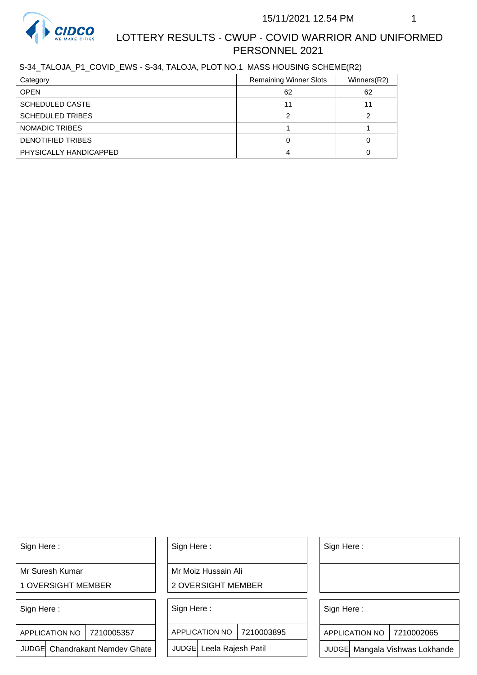

S-34\_TALOJA\_P1\_COVID\_EWS - S-34, TALOJA, PLOT NO.1 MASS HOUSING SCHEME(R2)

| Category                 | <b>Remaining Winner Slots</b> | Winners(R2) |
|--------------------------|-------------------------------|-------------|
| <b>OPEN</b>              | 62                            | 62          |
| <b>SCHEDULED CASTE</b>   |                               |             |
| <b>SCHEDULED TRIBES</b>  |                               |             |
| NOMADIC TRIBES           |                               |             |
| <b>DENOTIFIED TRIBES</b> |                               |             |
| PHYSICALLY HANDICAPPED   |                               |             |

Sign Here :

Mr Suresh Kumar

1 OVERSIGHT MEMBER

Sign Here :

7210005357 APPLICATION NO

JUDGE Chandrakant Namdev Ghate

Sign Here :

Mr Moiz Hussain Ali

2 OVERSIGHT MEMBER

Sign Here :

APPLICATION NO 7210003895

JUDGE Leela Rajesh Patil

Sign Here :

Sign Here :

APPLICATION NO | 7210002065

Chandrakant Namdev Ghate  $|\quad|$  JUDGE Leela Rajesh Patil  $|\quad|$  JUDGE Mangala Vishwas Lokhande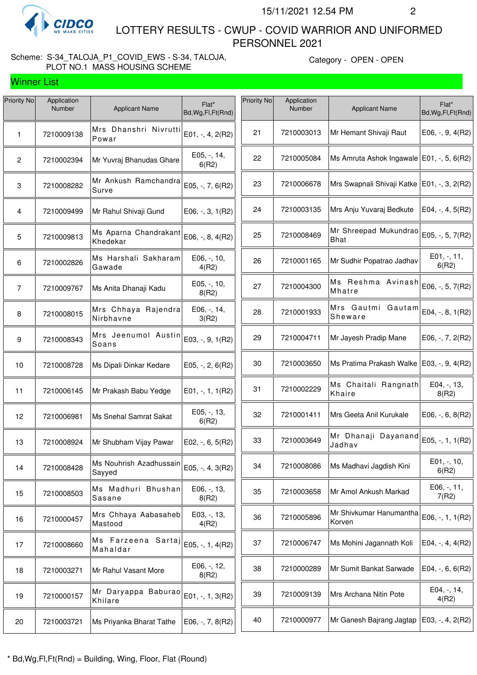

Winner List

 LOTTERY RESULTS - CWUP - COVID WARRIOR AND UNIFORMED PERSONNEL 2021

### Scheme: S-34\_TALOJA\_P1\_COVID\_EWS - S-34, TALOJA, PLOT NO.1 MASS HOUSING SCHEME

Category - OPEN - OPEN

| Priority No    | Application<br>Number | <b>Applicant Name</b>                                   | Flat*<br>Bd, Wg, Fl, Ft (Rnd) | <b>Priority No</b> | Application<br>Number | <b>Applicant Name</b>                         | Flat*<br>Bd, Wg, Fl, Ft(Rnd) |
|----------------|-----------------------|---------------------------------------------------------|-------------------------------|--------------------|-----------------------|-----------------------------------------------|------------------------------|
| 1              | 7210009138            | Mrs Dhanshri Nivrutti<br>Powar                          | $E01, -, 4, 2(R2)$            | 21                 | 7210003013            | Mr Hemant Shivaji Raut                        | $E06, -, 9, 4(R2)$           |
| $\mathbf{2}$   | 7210002394            | Mr Yuvraj Bhanudas Ghare                                | $E05, -14,$<br>6(R2)          | 22                 | 7210005084            | Ms Amruta Ashok Ingawale   E01, -, 5, 6(R2)   |                              |
| 3              | 7210008282            | Mr Ankush Ramchandra<br>Surve                           | E05, -, 7, 6(R2)              | 23                 | 7210006678            | Mrs Swapnali Shivaji Katke   E01, -, 3, 2(R2) |                              |
| 4              | 7210009499            | Mr Rahul Shivaji Gund                                   | $E06, -3, 1(R2)$              | 24                 | 7210003135            | Mrs Anju Yuvaraj Bedkute                      | E04, $-$ , $4$ , $5(R2)$     |
| 5              | 7210009813            | Ms Aparna Chandrakant<br>Khedekar                       | E06, -, 8, 4(R2)              | 25                 | 7210008469            | Mr Shreepad Mukundrao<br><b>Bhat</b>          | E05, -, 5, 7(R2)             |
| 6              | 7210002826            | Ms Harshali Sakharam<br>Gawade                          | E06, -, 10,<br>4(R2)          | 26                 | 7210001165            | Mr Sudhir Popatrao Jadhav                     | E01, -, 11,<br>6(R2)         |
| $\overline{7}$ | 7210009767            | Ms Anita Dhanaji Kadu                                   | E05, -, 10,<br>8(R2)          | 27                 | 7210004300            | Ms Reshma Avinash<br>Mhatre                   | E06, -, 5, 7(R2)             |
| 8              | 7210008015            | Mrs Chhaya Rajendra<br>Nirbhavne                        | E06, -, 14,<br>3(R2)          | 28                 | 7210001933            | Mrs Gautmi Gautam<br>Sheware                  | E04, -, 8, 1(R2)             |
| 9              | 7210008343            | Mrs Jeenumol Austin<br>Soans                            | E03, -, 9, 1(R2)              | 29                 | 7210004711            | Mr Jayesh Pradip Mane                         | $E06, -7, 2(R2)$             |
| 10             | 7210008728            | Ms Dipali Dinkar Kedare                                 | $E05, -, 2, 6(R2)$            | 30                 | 7210003650            | Ms Pratima Prakash Walke   E03, -, 9, 4(R2)   |                              |
| 11             | 7210006145            | Mr Prakash Babu Yedge                                   | E01, -, 1, 1(R2)              | 31                 | 7210002229            | Ms Chaitali Rangnath<br>Khaire                | E04, -, 13,<br>8(R2)         |
| 12             | 7210006981            | Ms Snehal Samrat Sakat                                  | E05, -, 13,<br>6(R2)          | 32                 | 7210001411            | Mrs Geeta Anil Kurukale                       | $E06, -, 6, 8(R2)$           |
| 13             | 7210008924            | Mr Shubham Vijay Pawar                                  | $E02, -, 6, 5(R2)$            | 33                 | 7210003649            | Mr Dhanaji Dayanand<br>Jadhav                 | E05, -, 1, 1(R2)             |
| 14             | 7210008428            | Ms Nouhrish Azadhussain<br>Sayyed                       | E05, -, 4, 3(R2)              | 34                 | 7210008086            | Ms Madhavi Jagdish Kini                       | E01, -, 10,<br>6(R2)         |
| 15             | 7210008503            | Ms Madhuri Bhushan<br>Sasane                            | E06, -, 13,<br>8(R2)          | 35                 | 7210003658            | Mr Amol Ankush Markad                         | E06, -, 11,<br>7(R2)         |
| 16             | 7210000457            | Mrs Chhaya Aabasaheb<br>Mastood                         | E03, -, 13,<br>4(R2)          | 36                 | 7210005896            | Mr Shivkumar Hanumantha<br>Korven             | E06, -, 1, 1(R2)             |
| 17             | 7210008660            | Ms Farzeena Sartaj $\vert$ E05, -, 1, 4(R2)<br>Mahaldar |                               | 37                 | 7210006747            | Ms Mohini Jagannath Koli                      | $E04, -, 4, 4(R2)$           |
| 18             | 7210003271            | Mr Rahul Vasant More                                    | E06, -, 12,<br>8(R2)          | 38                 | 7210000289            | Mr Sumit Bankat Sarwade                       | E04, $-$ , 6, 6(R2)          |
| 19             | 7210000157            | Mr Daryappa Baburao<br>Khilare                          | E01, -, 1, 3(R2)              | 39                 | 7210009139            | Mrs Archana Nitin Pote                        | E04, -, 14,<br>4(R2)         |
| 20             | 7210003721            | Ms Priyanka Bharat Tathe                                | $E06, -7, 8(R2)$              | 40                 | 7210000977            | Mr Ganesh Bajrang Jagtap                      | E03, -, 4, 2(R2)             |
|                |                       |                                                         |                               |                    |                       |                                               |                              |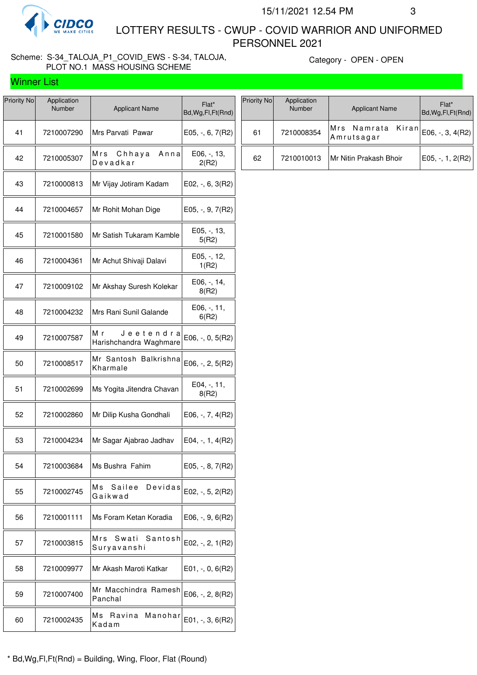

Winner List

 LOTTERY RESULTS - CWUP - COVID WARRIOR AND UNIFORMED PERSONNEL 2021

### Scheme: S-34\_TALOJA\_P1\_COVID\_EWS - S-34, TALOJA, PLOT NO.1 MASS HOUSING SCHEME

Category - OPEN - OPEN

| Priority No | Application<br>Number | <b>Applicant Name</b>                     | Flat*<br>Bd, Wg, Fl, Ft (Rnd) |
|-------------|-----------------------|-------------------------------------------|-------------------------------|
| 41          | 7210007290            | Mrs Parvati Pawar                         | E05, -, 6, 7(R2)              |
| 42          | 7210005307            | Mrs Chhaya<br>Anna<br>Devadkar            | E06, -, 13,<br>2(R2)          |
| 43          | 7210000813            | Mr Vijay Jotiram Kadam                    | $E02, -, 6, 3(R2)$            |
| 44          | 7210004657            | Mr Rohit Mohan Dige                       | E05, -, 9, 7(R2)              |
| 45          | 7210001580            | Mr Satish Tukaram Kamble                  | E05, -, 13,<br>5(R2)          |
| 46          | 7210004361            | Mr Achut Shivaji Dalavi                   | E05, -, 12,<br>1(R2)          |
| 47          | 7210009102            | Mr Akshay Suresh Kolekar                  | E06, -, 14,<br>8(R2)          |
| 48          | 7210004232            | Mrs Rani Sunil Galande                    | $E06, -11,$<br>6(R2)          |
| 49          | 7210007587            | Мr<br>Jeetendra<br>Harishchandra Waghmare | E06, -, 0, 5(R2)              |
| 50          | 7210008517            | Mr Santosh Balkrishna<br>Kharmale         | E06, -, 2, 5(R2)              |
| 51          | 7210002699            | Ms Yogita Jitendra Chavan                 | E04, -, 11,<br>8(R2)          |
| 52          | 7210002860            | Mr Dilip Kusha Gondhali                   | E06, -, 7, 4(R2)              |
| 53          | 7210004234            | Mr Sagar Ajabrao Jadhav                   | E04, -, 1, 4(R2)              |
| 54          | 7210003684            | Ms Bushra Fahim                           | $E05, -, 8, 7(R2)$            |
| 55          | 7210002745            | Мs<br>Sailee<br>Devidas<br>Gaikwad        | E02, $-$ , 5, 2(R2)           |
| 56          | 7210001111            | Ms Foram Ketan Koradia                    | E06, -, 9, 6(R2)              |
| 57          | 7210003815            | Mrs<br>Swati<br>Santosh<br>Suryavanshi    | E02, -, 2, 1(R2)              |
| 58          | 7210009977            | Mr Akash Maroti Katkar                    | $E01, -, 0, 6(R2)$            |
| 59          | 7210007400            | Mr Macchindra Ramesh<br>Panchal           | E06, -, 2, 8(R2)              |
| 60          | 7210002435            | Мs<br>Ravina<br>Manohar<br>Kadam          | E01, -, 3, 6(R2)              |

| Priority No | Application<br>Number | <b>Applicant Name</b>           | Flat*<br>Bd, Wg, Fl, Ft (Rnd) |
|-------------|-----------------------|---------------------------------|-------------------------------|
| 61          | 7210008354            | Mrs Namrata Kiran<br>Amrutsagar | $E06, -3, 4(R2)$              |
| 62          | 7210010013            | Mr Nitin Prakash Bhoir          | $E05, -1, 2(R2)$              |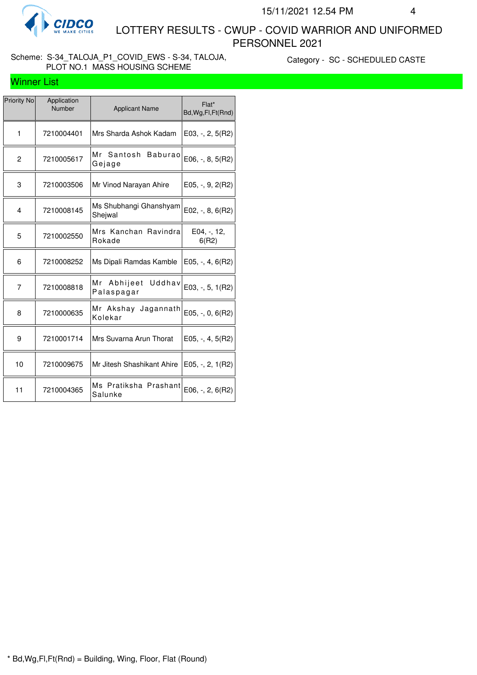

#### Scheme: S-34\_TALOJA\_P1\_COVID\_EWS - S-34, TALOJA, PLOT NO.1 MASS HOUSING SCHEME

Category - SC - SCHEDULED CASTE

#### Winner List

| Priority No    | Application<br>Number | <b>Applicant Name</b>                  | Flat*<br>Bd, Wg, Fl, Ft (Rnd) |
|----------------|-----------------------|----------------------------------------|-------------------------------|
| $\mathbf{1}$   | 7210004401            | Mrs Sharda Ashok Kadam                 | $E$ 03, -, 2, 5(R2)           |
| $\overline{c}$ | 7210005617            | Mr Santosh<br><b>Baburao</b><br>Gejage | $E06, -, 8, 5(R2)$            |
| 3              | 7210003506            | Mr Vinod Narayan Ahire                 | $E05, -, 9, 2(R2)$            |
| 4              | 7210008145            | Ms Shubhangi Ghanshyam<br>Sheiwal      | E02, $-$ , 8, 6(R2)           |
| 5              | 7210002550            | Mrs Kanchan Ravindra<br>Rokade         | E04, -, 12,<br>6(R2)          |
| 6              | 7210008252            | Ms Dipali Ramdas Kamble                | E05, $-$ , 4, 6(R2)           |
| 7              | 7210008818            | Mr Abhijeet Uddhav<br>Palaspagar       | $E03, -5, 1(R2)$              |
| 8              | 7210000635            | Mr Akshay Jagannath<br>Kolekar         | $E05, -, 0, 6(R2)$            |
| 9              | 7210001714            | Mrs Suvarna Arun Thorat                | $E05, -, 4, 5(R2)$            |
| 10             | 7210009675            | Mr Jitesh Shashikant Ahire             | E05, $-$ , 2, 1(R2)           |
| 11             | 7210004365            | Ms Pratiksha Prashant<br>Salunke       | $E06, -, 2, 6(R2)$            |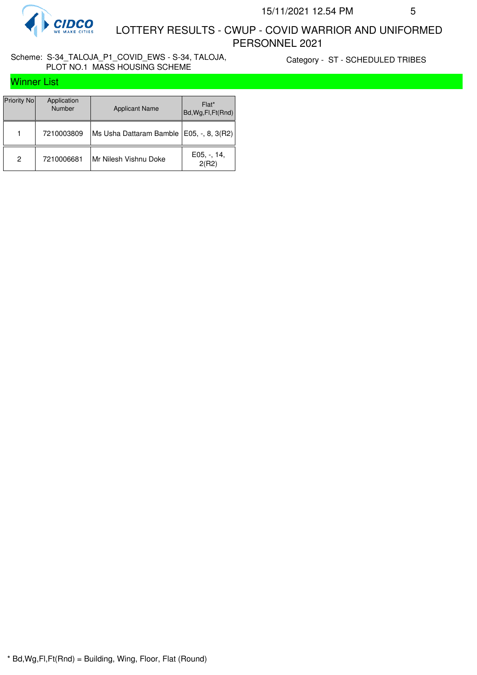

#### Scheme: S-34\_TALOJA\_P1\_COVID\_EWS - S-34, TALOJA, PLOT NO.1 MASS HOUSING SCHEME

Category - ST - SCHEDULED TRIBES

## Winner List

| Priority No | Application<br>Number | <b>Applicant Name</b>   | Flat*<br>Bd, Wg, Fl, Ft(Rnd) |
|-------------|-----------------------|-------------------------|------------------------------|
|             | 7210003809            | Ms Usha Dattaram Bamble | $ E05, -, 8, 3(R2) $         |
| 2           | 7210006681            | Mr Nilesh Vishnu Doke   | $E05, -14,$<br>2(R2)         |